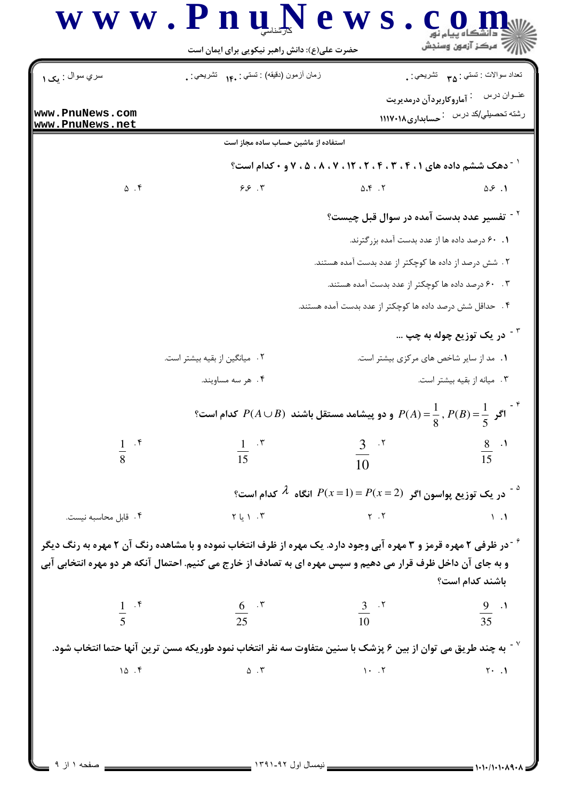| سري سوال : پ <b>ک ۱</b> | زمان أزمون (دقيقه) : تستى : ١۴. نُتْسَرْيْحَى : .                                                                                                                                                                                                       |                                                          | نعداد سوالات : تستبي : <sub>٣۵</sub> تشريحي : . |
|-------------------------|---------------------------------------------------------------------------------------------------------------------------------------------------------------------------------------------------------------------------------------------------------|----------------------------------------------------------|-------------------------------------------------|
| www.PnuNews.com         |                                                                                                                                                                                                                                                         |                                                          | عنــوان درس <sup>:</sup> آماروکاربردآن درمدیریت |
| www.PnuNews.net         |                                                                                                                                                                                                                                                         |                                                          | رشته تحصیلی/کد درس : حسابداری۱۱۱۷۰۱۸            |
|                         | استفاده از ماشین حساب ساده مجاز است                                                                                                                                                                                                                     |                                                          |                                                 |
|                         | <sup>1</sup> <sup>-</sup> دهک ششم داده های ۰ ، ۲ ، ۳ ، ۲ ، ۲ ، ۱۲ ، ۷ ، ۸ ، ۵ ، ۷ و ۰ کدام است؟                                                                                                                                                         |                                                          |                                                 |
| $\Delta$ . ۴            | $9.5 + 1$                                                                                                                                                                                                                                               | $\Delta .$ $\zeta$ $.$ $\zeta$                           | $\Delta S$ .1                                   |
|                         |                                                                                                                                                                                                                                                         | ` - تفسیر عدد بدست آمده در سوال قبل چیست؟                |                                                 |
|                         |                                                                                                                                                                                                                                                         | ۰۱ ۶۰ درصد داده ها از عدد بدست آمده بزرگترند.            |                                                 |
|                         |                                                                                                                                                                                                                                                         | ۲ . شش درصد از داده ها کوچکتر از عدد بدست آمده هستند.    |                                                 |
|                         |                                                                                                                                                                                                                                                         | ۰. ۶۰ درصد داده ها کوچکتر از عدد بدست آمده هستند.        |                                                 |
|                         |                                                                                                                                                                                                                                                         | ۴ . حداقل شش درصد داده ها کوچکتر از عدد بدست آمده هستند. |                                                 |
|                         |                                                                                                                                                                                                                                                         |                                                          | <sup>۳ -</sup> در یک توزیع چوله به چپ           |
|                         | ۲ . میانگین از بقیه بیشتر است.                                                                                                                                                                                                                          |                                                          | ۰۱ مد از سایر شاخص های مرکزی بیشتر است.         |
|                         | ۰۴ هر سه مساویند.                                                                                                                                                                                                                                       |                                                          | ۰۳ میانه از بقیه بیشتر است.                     |
|                         | اگر $P(A)=\frac{1}{8}$ , $P(B)=\frac{1}{8}$ و دو پیشامد مستقل باشند $P(A\cup B)$ کدام است؟                                                                                                                                                              |                                                          |                                                 |
|                         | $rac{1}{15}$ . "                                                                                                                                                                                                                                        | $\frac{3}{10}$ . <sup>r</sup>                            | $\frac{8}{15}$ .                                |
|                         |                                                                                                                                                                                                                                                         |                                                          |                                                 |
|                         | در یک توزیع پواسون اگر $P(x=1)=P(x=1)$ انگاه $\lambda$ کدام است؟ $^2$                                                                                                                                                                                   |                                                          |                                                 |
| ۰۴ قابل محاسبه نیست.    | $Y \cup Y$ . $Y$                                                                                                                                                                                                                                        | $Y \cdot Y$                                              | $\lambda$ . $\lambda$                           |
|                         | <sup>۶</sup> <sup>-</sup> در ظرفی ۲ مهره قرمز و ۳ مهره آبی وجود دارد. یک مهره از ظرف انتخاب نموده و با مشاهده رنگ آن ۲ مهره به رنگ دیگر<br>و به جای آن داخل ظرف قرار می دهیم و سپس مهره ای به تصادف از خارج می کنیم. احتمال آنکه هر دو مهره انتخابی آبی |                                                          | باشند كدام است؟                                 |
| $rac{1}{5}$ . f         | $rac{6}{25}$ . "                                                                                                                                                                                                                                        | $\frac{3}{10}$ . $\frac{5}{10}$                          | $\frac{9}{35}$ .1                               |
|                         |                                                                                                                                                                                                                                                         |                                                          |                                                 |
|                         | به چند طریق می توان از بین ۶ پزشک با سنین متفاوت سه نفر انتخاب نمود طوریکه مسن ترین آنها حتما انتخاب شود. $^\vee$                                                                                                                                       |                                                          |                                                 |
| 10.5                    | $\Delta$ . $\Upsilon$                                                                                                                                                                                                                                   | $1 - .7$                                                 | $Y - 1$                                         |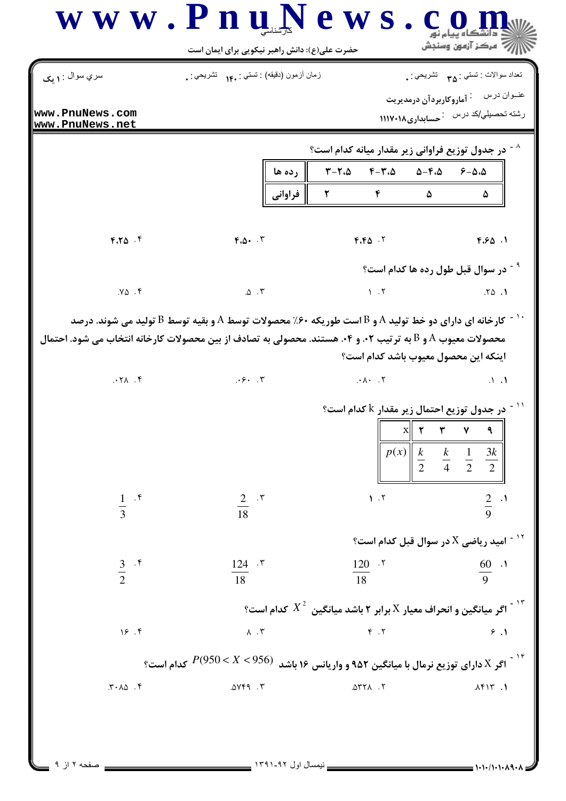| سري سوال : <b>۱ يک</b>              | زمان أزمون (دقيقه) : تستي : .١۴     تشريحي : .                                         |                                                                   | تعداد سوالات : تستي : <sub>۳۵</sub> تشريحي : .                                                                                                                                                                                      |
|-------------------------------------|----------------------------------------------------------------------------------------|-------------------------------------------------------------------|-------------------------------------------------------------------------------------------------------------------------------------------------------------------------------------------------------------------------------------|
| www.PnuNews.com<br> www.PnuNews.net |                                                                                        |                                                                   | عنــوان درس أ $\,$ آماروكاربردآن درمديريت<br>رشته تحصیلی/کد درس : حسابداری۱۱۱۷۰۱۸                                                                                                                                                   |
|                                     |                                                                                        | <sup>^ -</sup> در جدول توزیع فراوانی زیر مقدار میانه کدام است؟    |                                                                                                                                                                                                                                     |
|                                     | ∥ رده ها                                                                               | ۳–۲،۵ ۴–۳،۵ ۵–۴،۵ ۶–۵،۵                                           |                                                                                                                                                                                                                                     |
|                                     | فراواني                                                                                | $\mathbf{r}$<br>$\mathfrak{p}$ and $\mathfrak{p}$                 | ۵<br>۵                                                                                                                                                                                                                              |
| $F.T\Delta$ .                       | $F. \Delta $ . $\Upsilon$                                                              |                                                                   | $F.F\Delta$ $\cdot$ $\cdot$ $F.S.\Delta$ $\cdot$ 1                                                                                                                                                                                  |
|                                     |                                                                                        |                                                                   | <sup>۹ -</sup> در سوال قبل طول رده ها کدام است؟                                                                                                                                                                                     |
| $Y\Delta$ .۴                        | $\Delta$ $\cdot$ $\tilde{r}$                                                           | $\mathcal{N}$ . T                                                 | .70.1                                                                                                                                                                                                                               |
| 9.171<br>$\frac{1}{3}$ . if         | .5.7<br>$rac{2}{18}$ $\cdot$ "                                                         | $\cdot \wedge \cdot$ . $\vee$<br>1.7                              | اینکه این محصول معیوب باشد کدام است؟<br>$\Lambda$ $\Lambda$<br>$^{\circ}$ در جدول توزیع احتمال زیر مقدار $^{\circ}$ کدام است $^{\circ}$<br>$p(x)$ $\begin{array}{ccc} k & k & 1 & 3k \\ 2 & 4 & 2 & 2 \end{array}$<br>$rac{2}{9}$ . |
|                                     |                                                                                        |                                                                   | $^\circ$ ا - امید ریاضی $\textrm{X}$ در سوال قبل کدام است $^\circ$                                                                                                                                                                  |
| $\frac{3}{2}$ . f                   | $124 - 5$<br>18                                                                        | $120$ .<br>18                                                     | $rac{60}{9}$ .                                                                                                                                                                                                                      |
|                                     |                                                                                        | اگر میانگین و انحراف معیار X برابر ۲ باشد میانگین $X^2$ کدام است؟ |                                                                                                                                                                                                                                     |
| 19.7                                | $\lambda$ . $\Upsilon$                                                                 | F.7                                                               | 9.1                                                                                                                                                                                                                                 |
|                                     | اگر X دارای توزیع نرمال با میانگین ۹۵۲ و واریانس ۱۶ باشد $S > 950 < X < 950$ کدام است؟ |                                                                   |                                                                                                                                                                                                                                     |
|                                     | oYf9.7                                                                                 | $\Delta Y Y \Lambda$ . Y                                          | 1.1917                                                                                                                                                                                                                              |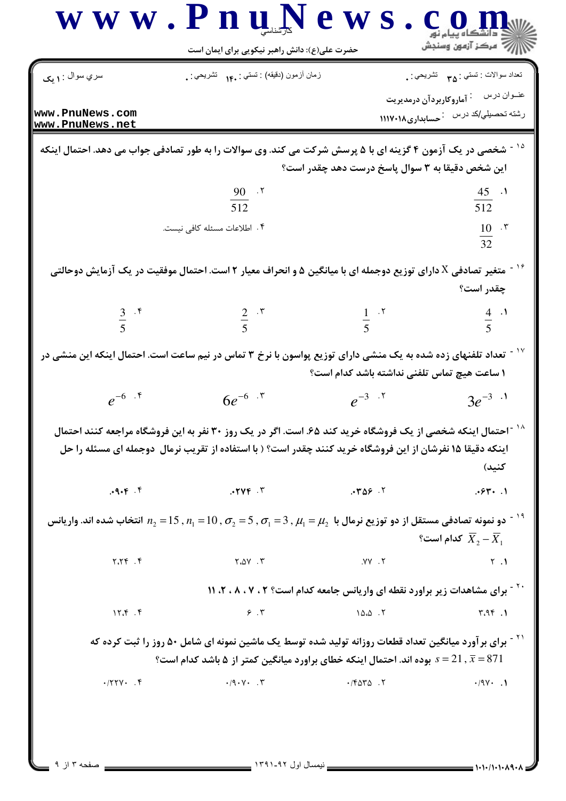|                                                                  | حضرت علی(ع): دانش راهبر نیکویی برای ایمان است                                                                                                                                                                         |                                                 | د دانشڪاه پيام نور<br>∥∕ مرکز آزمون وسنڊش       |
|------------------------------------------------------------------|-----------------------------------------------------------------------------------------------------------------------------------------------------------------------------------------------------------------------|-------------------------------------------------|-------------------------------------------------|
| سري سوال <b>۱</b> : <b>يک</b>                                    | زمان أزمون (دقيقه) : تستى : ١۴. تشريحي : .                                                                                                                                                                            |                                                 | تعداد سوالات : تستي : <sub>۳۵</sub> قشريحي : .  |
| www.PnuNews.com                                                  |                                                                                                                                                                                                                       |                                                 | عنــوان درس <sup>:</sup> آماروکاربردآن درمدیریت |
| www.PnuNews.net                                                  |                                                                                                                                                                                                                       |                                                 | رشته تحصیلی/کد درس : حسابداری۱۱۱۷۰۱۸            |
|                                                                  | شخصی در یک آزمون ۴ گزینه ای با ۵ پرسش شرکت می کند. وی سوالات را به طور تصادفی جواب می دهد. احتمال اینکه                                                                                                               | این شخص دقیقا به ۳ سوال پاسخ درست دهد چقدر است؟ |                                                 |
|                                                                  | $\frac{90}{512}$ . T                                                                                                                                                                                                  |                                                 | $\frac{45}{512}$ .                              |
|                                                                  |                                                                                                                                                                                                                       |                                                 |                                                 |
|                                                                  | ۴. اطلاعات مسئله كافي نيست.                                                                                                                                                                                           |                                                 | $rac{10}{32}$ . r                               |
|                                                                  | متغیر تصادفی X دارای توزیع دوجمله ای با میانگین ۵ و انحراف معیار ۲ است. احتمال موفقیت در یک آزمایش دوحالتی                                                                                                            |                                                 |                                                 |
|                                                                  |                                                                                                                                                                                                                       |                                                 | چقدر است؟                                       |
| $rac{3}{5}$ . f                                                  | $rac{2}{5}$ $\cdot$ $\cdot$                                                                                                                                                                                           | $rac{1}{5}$ . T                                 | $\frac{4}{5}$                                   |
|                                                                  |                                                                                                                                                                                                                       |                                                 |                                                 |
|                                                                  | تعداد تلفنهای زده شده به یک منشی دارای توزیع پواسون با نرخ ۳ تماس در نیم ساعت است. احتمال اینکه این منشی در                                                                                                           | ١ ساعت هيچ تماس تلفني نداشته باشد كدام است؟     |                                                 |
| $e^{-6}$ . $\zeta$                                               | $6e^{-6}$ $\cdot$ $\cdot$                                                                                                                                                                                             | $e^{-3}$ . T                                    | $3e^{-3}$ $\cdot$ <sup>1</sup>                  |
|                                                                  | احتمال اینکه شخصی از یک فروشگاه خرید کند ۶۵. است. اگر در یک روز ۳۰ نفر به این فروشگاه مراجعه کنند احتمال                                                                                                              |                                                 |                                                 |
|                                                                  | اینکه دقیقا ۱۵ نفرشان از این فروشگاه خرید کنند چقدر است؟ ( با استفاده از تقریب نرمال  دوجمله ای مسئله را حل                                                                                                           |                                                 |                                                 |
|                                                                  |                                                                                                                                                                                                                       |                                                 | كنيد)                                           |
| .9.9.9                                                           | .5746                                                                                                                                                                                                                 | .709.7                                          | .94.1                                           |
|                                                                  | دو نمونه تصادفی مستقل از دو توزیع نرمال با $\mu_1=\mu_2$ , $\sigma_1=5$ , $\sigma_1=10$ , $\sigma_2=15$ , $n_1$ انتخاب شده اند. واریانس $^{-19}$                                                                      |                                                 |                                                 |
|                                                                  |                                                                                                                                                                                                                       |                                                 | گدام است؟ $\overline{X}_2 - \overline{X}_1$     |
| 7.79.9                                                           | $Y \cdot \Delta Y$ . $Y$                                                                                                                                                                                              | ۲. <b>۷۷</b> .                                  | Y.1                                             |
|                                                                  | <sup>۲۰ -</sup> برای مشاهدات زیر براورد نقطه ای واریانس جامعه کدام است؟ ۲ ، ۷ ، ۲ ، ۱۱ ، ۲ ، ۱۱                                                                                                                       |                                                 |                                                 |
| 17.5.9                                                           | 9.7                                                                                                                                                                                                                   | 10.0.7                                          | 4.95.1                                          |
|                                                                  | <sup>۲۱ -</sup> برای برآورد میانگین تعداد قطعات روزانه تولید شده توسط یک ماشین نمونه ای شامل ۵۰ روز را ثبت کرده که<br>بوده اند. احتمال اینکه خطای براورد میانگین کمتر از ۵ باشد کدام است؟ $s=21$ , $\overline{x}=871$ |                                                 |                                                 |
| $\cdot$ / $\uparrow$ $\uparrow$ $\uparrow$ $\uparrow$ $\uparrow$ | $\cdot$ /9 $\cdot$ $\vee$ $\cdot$ $\vee$ $\cdot$                                                                                                                                                                      | $\cdot$ $/$ ۴۵۳۵.۲                              | $\cdot$ /9 $\vee$ . )                           |
|                                                                  |                                                                                                                                                                                                                       |                                                 |                                                 |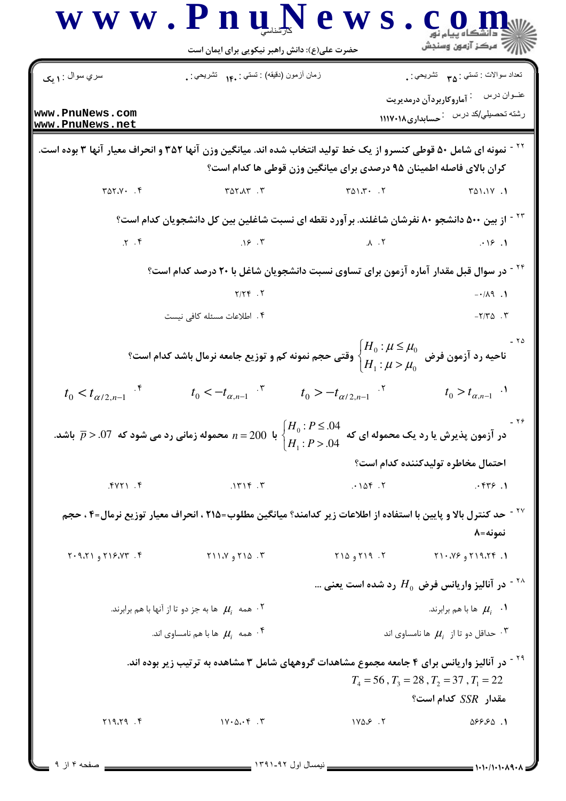|                                          | حضرت علی(ع): دانش راهبر نیکویی برای ایمان است                                                                                                                                                           |                                        |                                                                                         |
|------------------------------------------|---------------------------------------------------------------------------------------------------------------------------------------------------------------------------------------------------------|----------------------------------------|-----------------------------------------------------------------------------------------|
| سري سوال : ۱ يک                          | زمان أزمون (دقيقه) : تستي : ۱۴۰ نشريحي : .                                                                                                                                                              |                                        | تعداد سوالات : تستي : <sub>۳۵</sub> تشريحي : .                                          |
| www.PnuNews.com<br>www.PnuNews.net       |                                                                                                                                                                                                         |                                        | عنــوان درس <sup>:</sup> آماروکاربردآن درمدیریت<br>رشته تحصیلی/کد درس : حسابداری۱۱۱۷۰۱۸ |
|                                          | <sup>۲۲ -</sup> نمونه ای شامل ۵۰ قوطی کنسرو از یک خط تولید انتخاب شده اند. میانگین وزن آنها ۳۵۲ و انحراف معیار آنها ۳ بوده است.<br>کران بالای فاصله اطمینان ۹۵ درصدی برای میانگین وزن قوطی ها کدام است؟ |                                        |                                                                                         |
| $Y \triangle Y \cdot \cdot \cdot \cdot$  | $Y \triangle Y \triangle Y$ . $Y$                                                                                                                                                                       | $T \triangle Y \cdot T \cdot T$        | 1. ١١،١٧٥                                                                               |
|                                          | <sup>۲۳ -</sup> از بین ۵۰۰ دانشجو ۸۰ نفرشان شاغلند. بر آورد نقطه ای نسبت شاغلین بین کل دانشجویان کدام است؟                                                                                              |                                        |                                                                                         |
| $\mathcal{X}$ . $\mathcal{Y}$            | .19.7                                                                                                                                                                                                   | $\Lambda$ $\Lambda$                    | .19.1                                                                                   |
|                                          | <sup>۲۲ -</sup> در سوال قبل مقدار آماره آزمون برای تساوی نسبت دانشجویان شاغل با ۲۰ درصد کدام است؟                                                                                                       |                                        |                                                                                         |
|                                          | $Y/YY$ .                                                                                                                                                                                                |                                        | $-1/\lambda$ 9.1                                                                        |
|                                          | ۰۴ اطلاعات مسئله كافي نيست                                                                                                                                                                              |                                        | $-Y/Y\Delta$ . $Y$                                                                      |
|                                          | ناحیه رد آزمون فرض $\mu_0^{0}$ فرق $\bigg\{\displaystyle\frac{H_0:\mu\leq\mu_0}{H_1:\mu>\mu_0}$ وقتی حجم نمونه کم و توزیع جامعه نرمال باشد کدام است؟                                                    |                                        |                                                                                         |
| $t_0 < t_{\alpha/2, n-1}$ . <sup>*</sup> | $t_0 < -t_{\alpha,n-1}$ $\cdot$ $t_0 > -t_{\alpha/2,n-1}$ $\cdot$ $\cdot$                                                                                                                               |                                        | $t_0 > t_{\alpha, n-1}$ .                                                               |
|                                          | با 200 $n=2$ محموله زمانی رد می شود که $\overline{p}$ $> .07$ باشد.                                                                                                                                     | $H_0: P \leq .04$<br>$H_1$ : $P > .04$ | $-79$<br>در آزمون پذیرش یا رد یک محموله ای که                                           |
|                                          |                                                                                                                                                                                                         |                                        | احتمال مخاطره توليدكننده كدام است؟                                                      |
| $Y.$ (YYY)                               | .1719.7                                                                                                                                                                                                 | .105.7                                 | .577.1                                                                                  |
|                                          | <sup>۲۷ -</sup> حد کنترل بالا و پایین با استفاده از اطلاعات زیر کدامند؟ میانگین مطلوب=۲۱۵ ، انحراف معیار توزیع نرمال=۴ ، حجم                                                                            |                                        | نمونه=٨                                                                                 |
| $Y. 9.71$ , $Y. 19.77$                   | $Y \cup Y$ ۹۱۵ (۲۱۸ $Y$                                                                                                                                                                                 | ۲. ۲۱۹ و ۲۱۵                           | ۲۱۹،۲۴ و ۲۱۰،۷۶                                                                         |
|                                          |                                                                                                                                                                                                         |                                        | در آنالیز واریانس فرض $H_0$ رد شده است یعنی $^{\sf t}$ ۰ $^{\sf t}$                     |
|                                          | همه $\mu_i$ ها به جز دو تا از آنها با هم برابرند. $\mu_i$                                                                                                                                               |                                        | ها با هم برابرند. $\mu_i$ ۰۱                                                            |
|                                          | همه $\mu_i$ ها با هم نامساوی اند. $^*$                                                                                                                                                                  |                                        | حداقل دو تا از $\mu_i$ ها نامساوی اند $\cdot$ ۳                                         |
|                                          | <sup>۲۹ -</sup> در آنالیز واریانس برای ۴ جامعه مجموع مشاهدات گروههای شامل ۳ مشاهده به ترتیب زیر بوده اند.                                                                                               |                                        | $T_4 = 56$ , $T_3 = 28$ , $T_2 = 37$ , $T_1 = 22$<br>مقدار $SSR$ كدام است؟              |
|                                          |                                                                                                                                                                                                         |                                        |                                                                                         |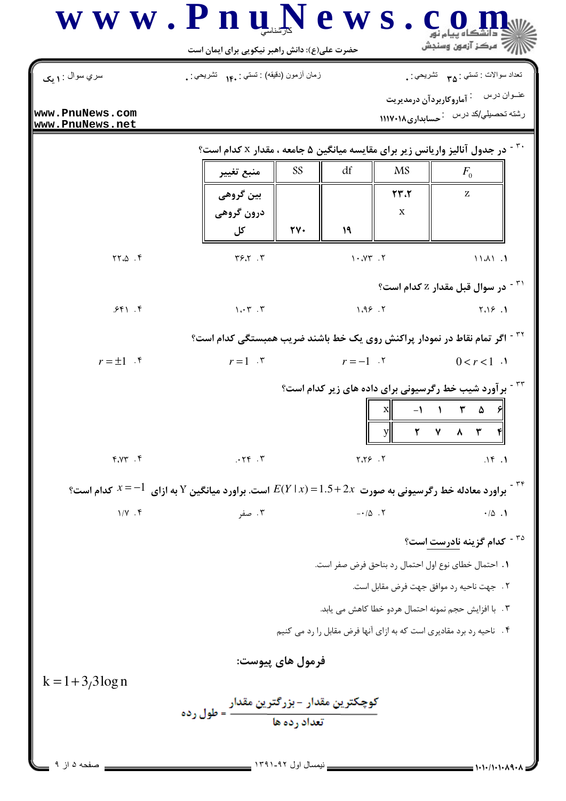|                                    | حضرت علی(ع): دانش راهبر نیکویی برای ایمان است                                                    |                        | ر آمرڪز آزمون وسنڊش                                                                                                                                                                                                                                                                                                                           |
|------------------------------------|--------------------------------------------------------------------------------------------------|------------------------|-----------------------------------------------------------------------------------------------------------------------------------------------------------------------------------------------------------------------------------------------------------------------------------------------------------------------------------------------|
| سري سوال : ١ يک                    | زمان أزمون (دقيقه) : تستي : ۱۴۰ نشريحي : .                                                       |                        | تعداد سوالات : تستي : <sub>۳۵</sub> تشريحي : .                                                                                                                                                                                                                                                                                                |
| www.PnuNews.com<br>www.PnuNews.net |                                                                                                  |                        | عنــوان درس <sup>:</sup> آماروکاربردآن درمدیریت<br>رشته تحصیلی/کد درس خمسابداری۱۱۱۷۰۱۸                                                                                                                                                                                                                                                        |
|                                    |                                                                                                  |                        | <sup>۳۰ -</sup> در جدول آنالیز واریانس زیر برای مقایسه میانگین ۵ جامعه ، مقدار x کدام است؟                                                                                                                                                                                                                                                    |
|                                    | <b>SS</b><br>منبع تغيير                                                                          | df                     | <b>MS</b><br>$F_{0}$                                                                                                                                                                                                                                                                                                                          |
|                                    | بین گروهی                                                                                        |                        | $\mathbf{Y} \mathbf{Y} \cdot \mathbf{Y}$<br>Z                                                                                                                                                                                                                                                                                                 |
|                                    | درون گروهی                                                                                       |                        | X                                                                                                                                                                                                                                                                                                                                             |
|                                    | $\mathsf{Y}\mathsf{Y}\cdot$<br>کل                                                                | 19                     |                                                                                                                                                                                                                                                                                                                                               |
| YY.A.                              | Y5.7.7                                                                                           | 1.7Y.7                 | 1141.1                                                                                                                                                                                                                                                                                                                                        |
|                                    |                                                                                                  |                        | <sup>۳۱ -</sup> در سوال قبل مقدار Z کدام است؟                                                                                                                                                                                                                                                                                                 |
| 551.5                              | $\mathcal{N} \cdot \mathcal{N}$ .                                                                | 1.99.7                 | 1.19.1                                                                                                                                                                                                                                                                                                                                        |
|                                    |                                                                                                  |                        | <sup>۳۲ -</sup> اگر تمام نقاط در نمودار پراکنش روی یک خط باشند ضریب همبستگی کدام است؟                                                                                                                                                                                                                                                         |
| $r = \pm 1$ .                      | $r=1$ $\cdot$ $\cdot$                                                                            | $r=-1$ . $\zeta$       | $0 < r < 1$ .                                                                                                                                                                                                                                                                                                                                 |
|                                    |                                                                                                  |                        | <sup>۳۳ -</sup> برآورد شیب خط رگرسیونی برای داده های زیر کدام است؟                                                                                                                                                                                                                                                                            |
|                                    |                                                                                                  | $\mathbf{x}$           | $-1$ $\qquad$ $\qquad$ $\qquad$ $\qquad$ $\qquad$ $\qquad$ $\qquad$ $\qquad$ $\qquad$ $\qquad$ $\qquad$ $\qquad$ $\qquad$ $\qquad$ $\qquad$ $\qquad$ $\qquad$ $\qquad$ $\qquad$ $\qquad$ $\qquad$ $\qquad$ $\qquad$ $\qquad$ $\qquad$ $\qquad$ $\qquad$ $\qquad$ $\qquad$ $\qquad$ $\qquad$ $\qquad$ $\qquad$ $\qquad$ $\qquad$ $\qquad$<br>ା |
|                                    |                                                                                                  |                        | ٨<br>٢١                                                                                                                                                                                                                                                                                                                                       |
| $f. \gamma \gamma$ . $f$           | .75.7                                                                                            | 7.79.7                 | .15.1                                                                                                                                                                                                                                                                                                                                         |
| کدام است؟ $x\!=\!-1$               | براورد معادله خط رگرسیونی به صورت $2x \in E(Y \mid x) = 1.5 + 2$ است. براورد میانگین $Y$ به ازای |                        |                                                                                                                                                                                                                                                                                                                                               |
| $1/Y$ . ۴                          | ۰۳ صفر                                                                                           | $-10.7$                | $\cdot/\Delta$ .                                                                                                                                                                                                                                                                                                                              |
|                                    |                                                                                                  |                        | <sup>۳۵ -</sup> کدام گزینه ناد <u>رست ا</u> ست؟                                                                                                                                                                                                                                                                                               |
|                                    |                                                                                                  |                        | ١. احتمال خطاى نوع اول احتمال رد بناحق فرض صفر است.                                                                                                                                                                                                                                                                                           |
|                                    |                                                                                                  |                        | ٢ . جهت ناحيه رد موافق جهت فرض مقابل است.                                                                                                                                                                                                                                                                                                     |
|                                    |                                                                                                  |                        | ٣. با افزايش حجم نمونه احتمال هردو خطا كاهش مى يابد.                                                                                                                                                                                                                                                                                          |
|                                    |                                                                                                  |                        | ۴ .   ناحیه رد برد مقادیری است که به ازای آنها فرض مقابل را رد می کنیم                                                                                                                                                                                                                                                                        |
|                                    | فرمول هاي پيوست:                                                                                 |                        |                                                                                                                                                                                                                                                                                                                                               |
| $k = 1 + 3/3 \log n$               |                                                                                                  |                        |                                                                                                                                                                                                                                                                                                                                               |
|                                    |                                                                                                  |                        |                                                                                                                                                                                                                                                                                                                                               |
|                                    |                                                                                                  |                        |                                                                                                                                                                                                                                                                                                                                               |
|                                    |                                                                                                  | ـ ندمسال اول ۹۲ـ۱۳۹۱ ـ |                                                                                                                                                                                                                                                                                                                                               |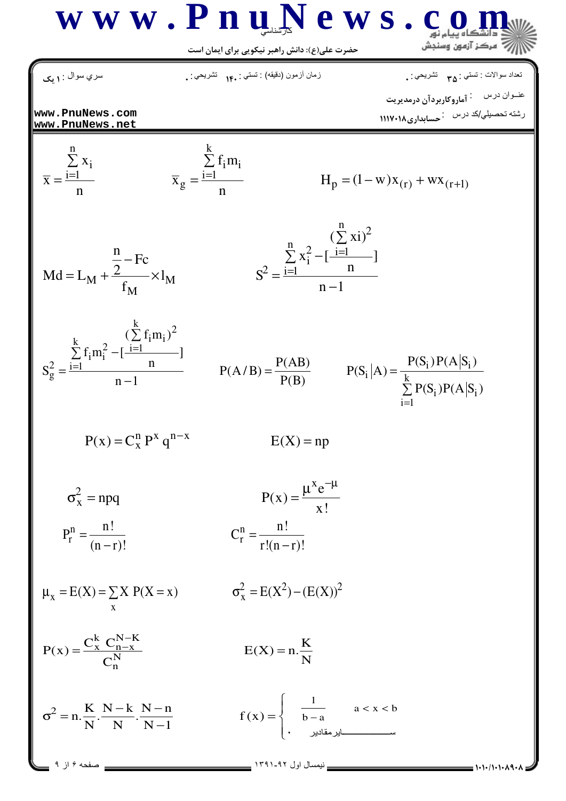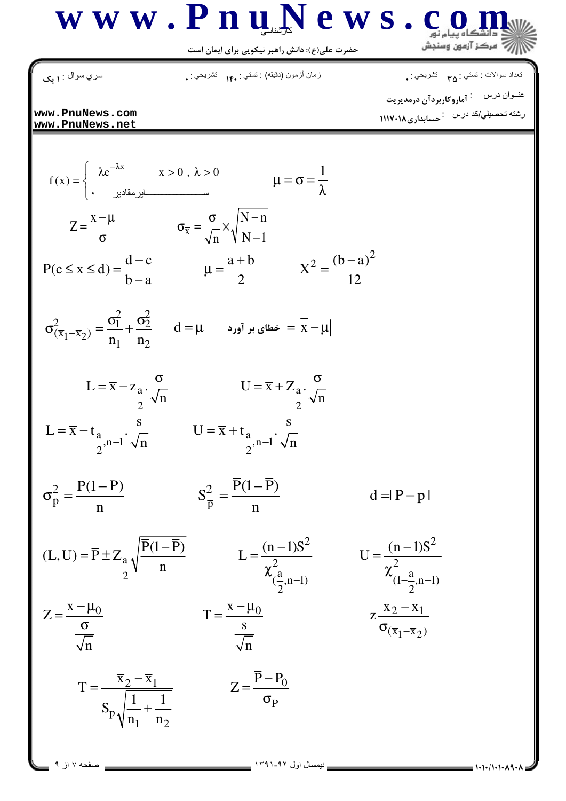

نعداد سوالات : تستبي : <sub>٣۵</sub> تشريحي : . سري سوال : **۱ یک** زمان أزمون (دقيقه) : تستي : ۱۴. تشريحي : . رشته تحصیلی/کد درس مسلم اری۱۱۱۷۰۱۸ www.PnuNews.com www.PnuNews.net  $f(x) = \begin{cases} \lambda e^{-\lambda x} & x > 0, \ \lambda > 0 & \mu = \sigma = \frac{1}{\lambda} \end{cases}$  $Z = \frac{x - \mu}{\sigma}$   $\sigma_{\overline{x}} = \frac{\sigma}{\sqrt{N - \mu}} \times \sqrt{\frac{N - n}{N - 1}}$  $P(c \le x \le d) = \frac{d-c}{b-a}$   $\mu = \frac{a+b}{2}$   $X^2 = \frac{(b-a)^2}{12}$  $\sigma_{(\overline{x}_1 - \overline{x}_2)}^2 = \frac{\sigma_1^2}{n_1} + \frac{\sigma_2^2}{n_2}$   $d = \mu$   $d = \mu$   $d = |\overline{x} - \mu|$ L =  $\overline{x} - z_{\frac{a}{2}} \cdot \frac{\sigma}{\sqrt{n}}$  U =  $\overline{x} + Z_{\frac{a}{2}} \cdot \frac{\sigma}{\sqrt{n}}$ L =  $\overline{x}$  -  $t_{\frac{a}{2}, n-1}$   $\cdot \frac{s}{\sqrt{n}}$  U =  $\overline{x}$  +  $t_{\frac{a}{2}, n-1}$   $\cdot \frac{s}{\sqrt{n}}$  $\sigma_{\overline{p}}^2 = \frac{P(1-P)}{n}$  $S_{\overline{p}}^2 = \frac{\overline{P}(1-\overline{P})}{\overline{p}}$  $d = |\overline{P} - p|$  $T = \frac{\overline{x} - \mu_0}{\frac{s}{\sqrt{n}}}$  $Z = \frac{\overline{x} - \mu_0}{\frac{\sigma}{\sqrt{n}}}$  $z\frac{\overline{x}_2-\overline{x}_1}{\sigma_{(\overline{x}_1-\overline{x}_2)}}$  $T = \frac{x_2 - \bar{x}_1}{S_p \sqrt{\frac{1}{n_1} + \frac{1}{n_2}}}$   $Z = \frac{\bar{P} - P_0}{\sigma_{\bar{P}}}$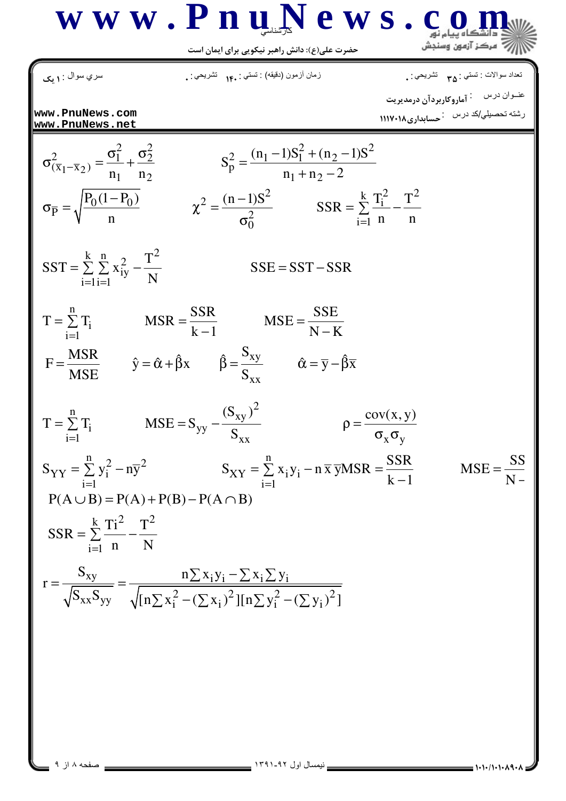

$$
\begin{array}{ll}\n\text{(a)} & \text{(a)} & \text{(a)} & \text{(a)} & \text{(a)} & \text{(a)} & \text{(a)} \\
\text{www. PnuNews.com} & \text{www. PnuNews.com} \\
\text{www. PnuNews.com} & \text{www. PnuNews.com} \\
\hline\n\sigma_{(x_1-x_2)}^2 = \frac{\sigma_1^2}{n_1} + \frac{\sigma_2^2}{n_2} & S_p^2 = \frac{(n_1-1)S_1^2 + (n_2-1)S^2}{n_1+n_2-2} \\
\sigma_{\overline{p}} = \sqrt{\frac{P_0(1-P_0)}{n}} & \chi^2 = \frac{(n-1)S_1^2 + (n_2-1)S^2}{\sigma_0^2} & SSR = \sum_{i=1}^{k} \frac{T_i^2}{n} - \frac{T^2}{n} \\
\text{SST} = \sum_{i=1}^{k} \sum_{i=1}^{n} x_{iy}^2 - \frac{T^2}{N} & SSE = SST - SSR \\
\text{T} = \sum_{i=1}^{n} \sum_{i=1}^{n} & \text{MSR} = \frac{SSR}{k-1} & \text{MSE} = \frac{SSE}{N-K} \\
F = \frac{\text{MSR}}{\text{MSE}} & \hat{y} = \hat{\alpha} + \hat{\beta}x & \hat{\beta} = \frac{S_{xy}}{S_{xx}} & \hat{\alpha} = \overline{y} - \hat{\beta}\overline{x} \\
\text{T} = \sum_{i=1}^{n} T_i & MSE = S_{yy} - \frac{(S_{xy})^2}{S_{xx}} & \hat{\beta} = \frac{\text{cov}(x, y)}{\sigma_x \sigma_y} \\
S_{YY} = \sum_{i=1}^{n} Y_i^2 - n\overline{y}^2 & S_{XY} = \sum_{i=1}^{n} x_i y_i - n\overline{x} \overline{y} \text{MSR} = \frac{SSR}{k-1} & MSE = \frac{SS}{N-1} \\
P(A \cup B) = P(A) + P(B) - P(A \cap B) & \\SSR = \sum_{i=1}^{k} \frac{T_i^2}{n} - \frac{T^2}{N} & \\ r = \frac{S_{xy}}{\sqrt{S_{xx}S_{yy}}} = \frac{n \sum x_i y_i - \sum x_i \sum y_i}{\sqrt{[n \sum x_i^2 - (\sum x_i)^2][n \sum y_i^2 - (\sum y_i)^2]}}\
$$